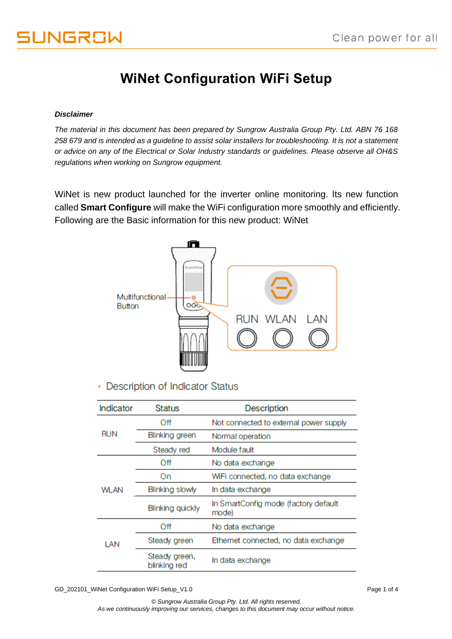## **WiNet Configuration WiFi Setup**

### *Disclaimer*

*The material in this document has been prepared by Sungrow Australia Group Pty. Ltd. ABN 76 168 258 679 and is intended as a guideline to assist solar installers for troubleshooting. It is not a statement or advice on any of the Electrical or Solar Industry standards or guidelines. Please observe all OH&S regulations when working on Sungrow equipment.*

WiNet is new product launched for the inverter online monitoring. Its new function called **Smart Configure** will make the WiFi configuration more smoothly and efficiently. Following are the Basic information for this new product: WiNet



• Description of Indicator Status

| <b>Indicator</b> | <b>Status</b>                 | <b>Description</b>                            |  |
|------------------|-------------------------------|-----------------------------------------------|--|
|                  | Off                           | Not connected to external power supply        |  |
| <b>RUN</b>       | Blinking green                | Normal operation                              |  |
|                  | Steady red                    | Module fault                                  |  |
|                  | Off                           | No data exchange                              |  |
| <b>WLAN</b>      | On                            | WiFi connected, no data exchange              |  |
|                  | Blinking slowly               | In data exchange                              |  |
|                  | <b>Blinking quickly</b>       | In SmartConfig mode (factory default<br>mode) |  |
|                  | Off                           | No data exchange                              |  |
| LAN              | Steady green                  | Ethernet connected, no data exchange          |  |
|                  | Steady green,<br>blinking red | In data exchange                              |  |

GD\_202101\_WiNet Configuration WiFi Setup\_V1.0 example of 4 and 2021012 and 202101 and 202101 and 202101 and 20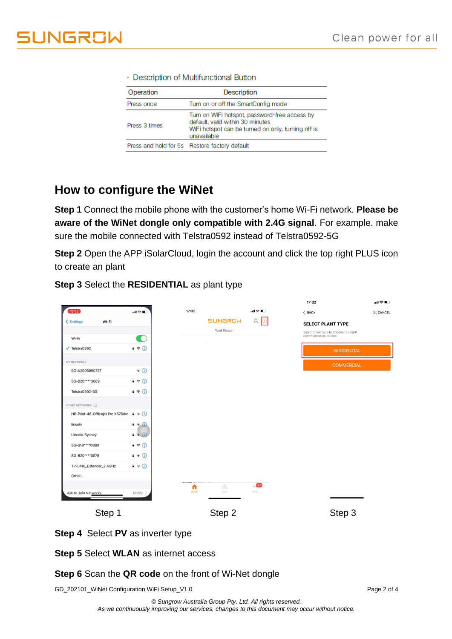| Operation     | <b>Description</b>                                                                                                                                     |
|---------------|--------------------------------------------------------------------------------------------------------------------------------------------------------|
| Press once    | Turn on or off the SmartConfig mode                                                                                                                    |
| Press 3 times | Turn on WiFi hotspot, password-free access by<br>default, valid within 30 minutes<br>WiFi hotspot can be turned on only, turning off is<br>unavailable |
|               | Press and hold for 5s Restore factory default                                                                                                          |

#### • Description of Multifunctional Button

## **How to configure the WiNet**

**Step 1** Connect the mobile phone with the customer's home Wi-Fi network. **Please be aware of the WiNet dongle only compatible with 2.4G signal**. For example. make sure the mobile connected with Telstra0592 instead of Telstra0592-5G

**Step 2** Open the APP iSolarCloud, login the account and click the top right PLUS icon to create an plant

|  |  | Step 3 Select the RESIDENTIAL as plant type |  |
|--|--|---------------------------------------------|--|
|--|--|---------------------------------------------|--|

|                                  |                                 |                         |                      | 17:32                                                          | … ?■            |
|----------------------------------|---------------------------------|-------------------------|----------------------|----------------------------------------------------------------|-----------------|
| 15:55                            | $\mathbf{d} \otimes \mathbf{m}$ | 17:32                   | 副帝王                  | $\langle$ BACK                                                 | $\times$ CANCEL |
| Wi-Fi<br>< Settings              |                                 | <b>SUNGROW</b>          | $Q \bigoplus$        | <b>SELECT PLANT TYPE</b>                                       |                 |
|                                  |                                 | Plant Status -          |                      | Select plant type to choose the right<br>communication device. |                 |
| Wi-Fi                            | œ                               |                         |                      |                                                                |                 |
| $\sqrt{}$ Telstra0592            | $9 \in \mathbb{Q}$              |                         |                      | <b>RESIDENTIAL</b>                                             |                 |
| MY NETWORKS                      |                                 |                         |                      | <b>COMMERCIAL</b>                                              |                 |
| SG-A2006050737                   | $\widehat{\mathbf{z}}$ (i)      |                         |                      |                                                                |                 |
| SG-B20****3609                   | $9 \in \mathbb{Q}$              |                         |                      |                                                                |                 |
| Telstra0592-5G                   | $4 \in (i)$                     |                         |                      |                                                                |                 |
| OTHER NETWORKS                   |                                 |                         |                      |                                                                |                 |
| HP-Print-46-Officejet Pro X576dw | $\bullet \circ \bullet$         |                         |                      |                                                                |                 |
| lincoln                          | $a \in \mathbb{Q}$              |                         |                      |                                                                |                 |
| Lincoln-Sydney                   | $\bullet \in (i)$               |                         |                      |                                                                |                 |
| SG-B19****0880                   | $9 \in \mathbb{Q}$              |                         |                      |                                                                |                 |
| SG-B20****0878                   | $9 \in (i)$                     |                         |                      |                                                                |                 |
| TP-LINK_Extender_2.4GHz          | $\bullet \in \odot$             |                         |                      |                                                                |                 |
| Other                            |                                 |                         |                      |                                                                |                 |
|                                  |                                 | △<br>Λ<br>Fault<br>Home | $\ldots$ NEW<br>More |                                                                |                 |
| Ask to Join Networks             | Notify >                        |                         |                      |                                                                |                 |
| Step 1                           |                                 | Step 2                  |                      | Step 3                                                         |                 |
|                                  |                                 |                         |                      |                                                                |                 |

**Step 4** Select **PV** as inverter type

**Step 5** Select **WLAN** as internet access

## **Step 6** Scan the **QR code** on the front of Wi-Net dongle

GD\_202101\_WiNet Configuration WiFi Setup\_V1.0 example of 4 and 2 of 4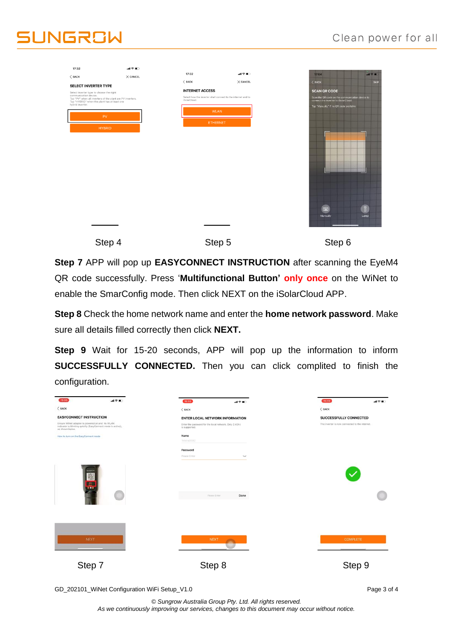# **JUNGROW**

| 17:32                                                             | 証金■○                                                       |                                                                              |                                                                                         |
|-------------------------------------------------------------------|------------------------------------------------------------|------------------------------------------------------------------------------|-----------------------------------------------------------------------------------------|
| $<$ BACK                                                          | $\times$ CANCEL                                            | 17:32<br>調査■                                                                 | 17:04<br>$m \nless 11$                                                                  |
| <b>SELECT INVERTER TYPE</b>                                       |                                                            | $<$ BACK<br>$\times$ CANCEL                                                  | $6$ BACK<br><b>SKIP</b>                                                                 |
| Select inverter type to choose the right<br>communication device. |                                                            | <b>INTERNET ACCESS</b>                                                       | <b>SCAN QR CODE</b>                                                                     |
| Tap "HYBRID" when the plant has at least one                      | Tap "PV" when all inverters of the plant are PV inverters. | Select how the inverter shall connect to the internet and to<br>iSolarCloud. | Scan the QR code on the communication device to<br>connect the inverter to iSolarCloud. |
| hybrid inverter.                                                  |                                                            | <b>WLAN</b>                                                                  | Tap "Manually" if no QR code available.                                                 |
|                                                                   | <b>PV</b>                                                  |                                                                              |                                                                                         |
|                                                                   | <b>HYBRID</b>                                              | <b>ETHERNET</b>                                                              |                                                                                         |
|                                                                   |                                                            |                                                                              |                                                                                         |
|                                                                   |                                                            |                                                                              |                                                                                         |
|                                                                   |                                                            |                                                                              |                                                                                         |
|                                                                   |                                                            |                                                                              |                                                                                         |
|                                                                   |                                                            |                                                                              |                                                                                         |
|                                                                   |                                                            |                                                                              |                                                                                         |
|                                                                   |                                                            |                                                                              |                                                                                         |
|                                                                   |                                                            |                                                                              |                                                                                         |
|                                                                   |                                                            |                                                                              |                                                                                         |
|                                                                   |                                                            |                                                                              |                                                                                         |
|                                                                   |                                                            |                                                                              |                                                                                         |
|                                                                   |                                                            |                                                                              | $\mathbb T$<br>四                                                                        |
|                                                                   |                                                            |                                                                              | Manually<br>Lamp                                                                        |
|                                                                   |                                                            |                                                                              |                                                                                         |
|                                                                   |                                                            |                                                                              |                                                                                         |
|                                                                   |                                                            |                                                                              |                                                                                         |
|                                                                   | Step 4                                                     | Step 5                                                                       | Step 6                                                                                  |

**Step 7** APP will pop up **EASYCONNECT INSTRUCTION** after scanning the EyeM4 QR code successfully. Press '**Multifunctional Button' only once** on the WiNet to enable the SmarConfig mode. Then click NEXT on the iSolarCloud APP.

**Step 8** Check the home network name and enter the **home network password**. Make sure all details filled correctly then click **NEXT.**

**Step 9** Wait for 15-20 seconds, APP will pop up the information to inform **SUCCESSFULLY CONNECTED.** Then you can click complited to finish the configuration.

| 15:55                                                                                                                             | $\mathbf{d} \mathcal{R}$ lla | 15:55                                                                  | 証金■○           | 15:59                                          | dl字■ |
|-----------------------------------------------------------------------------------------------------------------------------------|------------------------------|------------------------------------------------------------------------|----------------|------------------------------------------------|------|
| $<$ BACK                                                                                                                          |                              | $<$ BACK                                                               |                | $<$ BACK                                       |      |
| <b>EASYCONNECT INSTRUCTION</b>                                                                                                    |                              | <b>ENTER LOCAL NETWORK INFORMATION</b>                                 |                | <b>SUCCESSFULLY CONNECTED</b>                  |      |
| Ensure WiNet adapter is powered on and its WLAN<br>indicator is blinking quickly (EasyConnect mode is active),<br>as shown below. |                              | Enter the password for the local network. Only 2.4Ghz<br>is supported. |                | The inverter is now connected to the internet. |      |
| How to turn on the EasyConnect mode                                                                                               |                              | Name<br>Telstra0592                                                    |                |                                                |      |
|                                                                                                                                   |                              | Password<br>Please Enter                                               | $\sigma_{pqq}$ |                                                |      |
| 顧問                                                                                                                                |                              | Please Enter                                                           | Done           |                                                |      |
| NEXT                                                                                                                              |                              | <b>NEXT</b>                                                            |                | <b>COMPLETE</b>                                |      |
| Step 7                                                                                                                            |                              | Step 8                                                                 |                | Step 9                                         |      |

GD\_202101\_WiNet Configuration WiFi Setup\_V1.0 errors and the configuration WiFi Setup\_V1.0